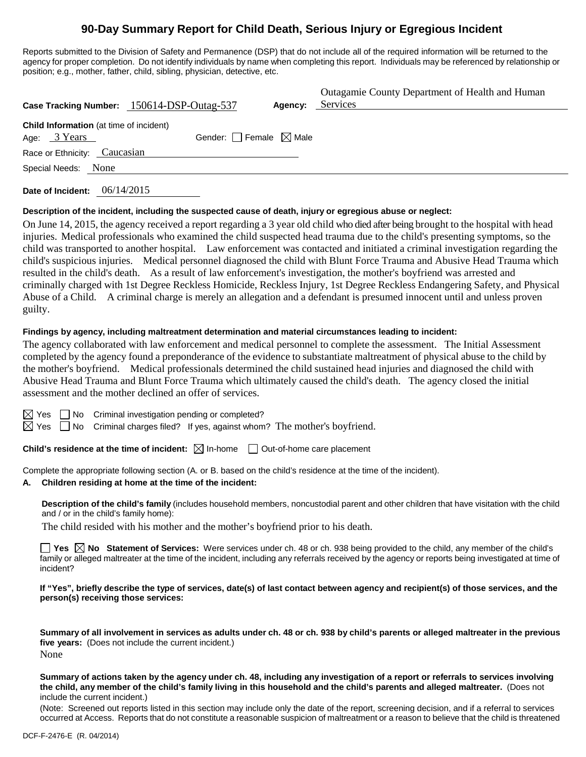# **90-Day Summary Report for Child Death, Serious Injury or Egregious Incident**

Reports submitted to the Division of Safety and Permanence (DSP) that do not include all of the required information will be returned to the agency for proper completion. Do not identify individuals by name when completing this report. Individuals may be referenced by relationship or position; e.g., mother, father, child, sibling, physician, detective, etc.

| Case Tracking Number: 150614-DSP-Outag-537                                                          | Agency: Services | Outagamie County Department of Health and Human |  |  |  |  |  |
|-----------------------------------------------------------------------------------------------------|------------------|-------------------------------------------------|--|--|--|--|--|
| Child Information (at time of incident)<br>Gender: $\Box$ Female $\boxtimes$ Male<br>Age: $3$ Years |                  |                                                 |  |  |  |  |  |
| Race or Ethnicity: Caucasian                                                                        |                  |                                                 |  |  |  |  |  |
| Special Needs: None                                                                                 |                  |                                                 |  |  |  |  |  |
|                                                                                                     |                  |                                                 |  |  |  |  |  |

**Date of Incident:** 06/14/2015

## **Description of the incident, including the suspected cause of death, injury or egregious abuse or neglect:**

On June 14, 2015, the agency received a report regarding a 3 year old child who died after being brought to the hospital with head injuries. Medical professionals who examined the child suspected head trauma due to the child's presenting symptoms, so the child was transported to another hospital. Law enforcement was contacted and initiated a criminal investigation regarding the child's suspicious injuries. Medical personnel diagnosed the child with Blunt Force Trauma and Abusive Head Trauma which resulted in the child's death. As a result of law enforcement's investigation, the mother's boyfriend was arrested and criminally charged with 1st Degree Reckless Homicide, Reckless Injury, 1st Degree Reckless Endangering Safety, and Physical Abuse of a Child. A criminal charge is merely an allegation and a defendant is presumed innocent until and unless proven guilty.

## **Findings by agency, including maltreatment determination and material circumstances leading to incident:**

The agency collaborated with law enforcement and medical personnel to complete the assessment. The Initial Assessment completed by the agency found a preponderance of the evidence to substantiate maltreatment of physical abuse to the child by the mother's boyfriend. Medical professionals determined the child sustained head injuries and diagnosed the child with Abusive Head Trauma and Blunt Force Trauma which ultimately caused the child's death. The agency closed the initial assessment and the mother declined an offer of services.

 $\Box$  No Criminal investigation pending or completed?

Yes  $\Box$  No Criminal charges filed? If yes, against whom? The mother's boyfriend.

**Child's residence at the time of incident:**  $\boxtimes$  In-home  $\Box$  Out-of-home care placement

Complete the appropriate following section (A. or B. based on the child's residence at the time of the incident).

#### **A. Children residing at home at the time of the incident:**

**Description of the child's family** (includes household members, noncustodial parent and other children that have visitation with the child and / or in the child's family home):

The child resided with his mother and the mother's boyfriend prior to his death.

**Yes No Statement of Services:** Were services under ch. 48 or ch. 938 being provided to the child, any member of the child's family or alleged maltreater at the time of the incident, including any referrals received by the agency or reports being investigated at time of incident?

**If "Yes", briefly describe the type of services, date(s) of last contact between agency and recipient(s) of those services, and the person(s) receiving those services:**

**Summary of all involvement in services as adults under ch. 48 or ch. 938 by child's parents or alleged maltreater in the previous five years:** (Does not include the current incident.) None

**Summary of actions taken by the agency under ch. 48, including any investigation of a report or referrals to services involving the child, any member of the child's family living in this household and the child's parents and alleged maltreater.** (Does not include the current incident.)

(Note: Screened out reports listed in this section may include only the date of the report, screening decision, and if a referral to services occurred at Access. Reports that do not constitute a reasonable suspicion of maltreatment or a reason to believe that the child is threatened